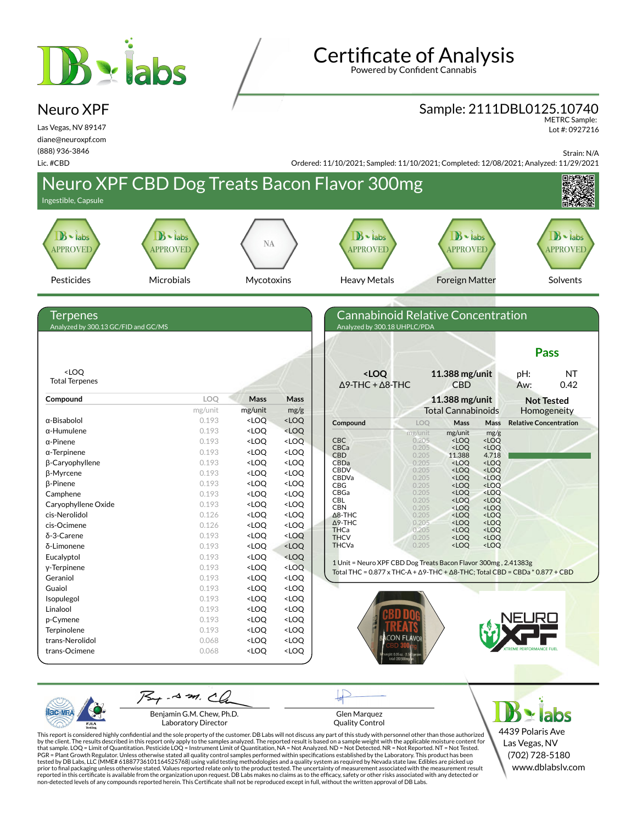# **B** siabs

Neuro XPF Las Vegas, NV 89147 diane@neuroxpf.com (888) 936-3846

## **Certificate of Analysis**

Powered by Confident Cannabis

#### Sample: 2111DBL0125.10740

METRC Sample: Lot #: 0927216

Strain: N/A



Benjamin G.M. Chew, Ph.D. Laboratory Director

PJL/

Glen Marquez Quality Control

4439 Polaris Ave Las Vegas, NV (702) 728-5180 www.dblabslv.com

This report is considered highly confidential and the sole property of the customer. DB Labs will not discuss any part of this study with personnel other than those authorized<br>by the client. The results described in this r tested by DB Labs, LLC (MME# 61887736101164525768) using valid testing methodologies and a quality system as required by Nevada state law. Edibles are picked up<br>prior to final packaging unless otherwise stated. Values repo reported in this certificate is available from the organization upon request. DB Labs makes no claims as to the efficacy, safety or other risks associated with any detected or<br>non-detected levels of any compounds reported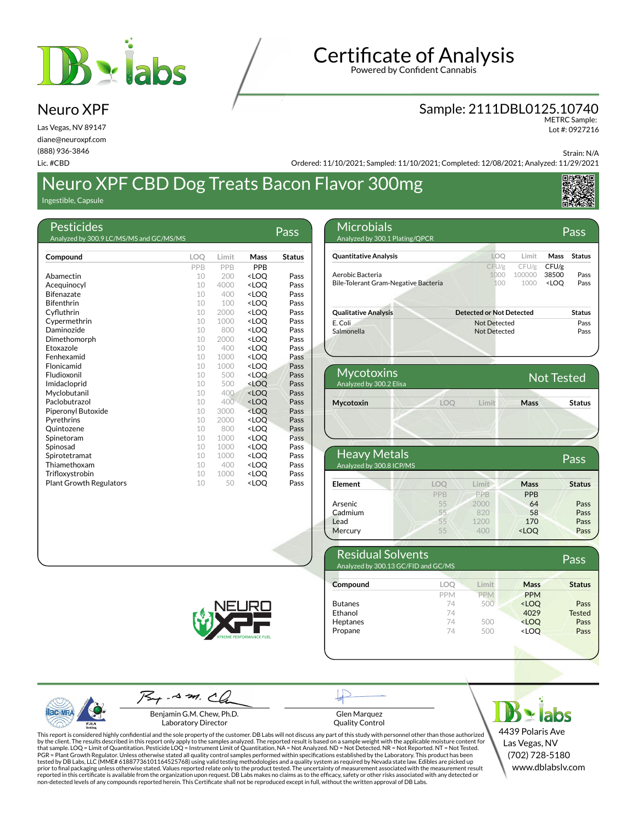

## **Certificate of Analysis**

Powered by Confident Cannabis

#### Sample: 2111DBL0125.10740

METRC Sample: Lot #: 0927216

Strain: N/A

Ordered: 11/10/2021; Sampled: 11/10/2021; Completed: 12/08/2021; Analyzed: 11/29/2021

## Neuro XPF CBD Dog Treats Bacon Flavor 300mg

Ingestible, Capsule

Neuro XPF Las Vegas, NV 89147 diane@neuroxpf.com (888) 936-3846 Lic. #CBD

| Pesticides<br>Analyzed by 300.9 LC/MS/MS and GC/MS/MS |            |            |                                  | Pass          |
|-------------------------------------------------------|------------|------------|----------------------------------|---------------|
| Compound                                              | <b>LOO</b> | Limit      | Mass                             | <b>Status</b> |
|                                                       |            |            |                                  |               |
|                                                       | <b>PPR</b> | <b>PPR</b> | <b>PPR</b>                       |               |
| Abamectin                                             | 10         | 200        | <loo< td=""><td>Pass</td></loo<> | Pass          |
| Acequinocyl                                           | 10         | 4000       | <loo< td=""><td>Pass</td></loo<> | Pass          |
| <b>Bifenazate</b>                                     | 10         | 400        | <loq< td=""><td>Pass</td></loq<> | Pass          |
| <b>Bifenthrin</b>                                     | 10         | 100        | <loo< td=""><td>Pass</td></loo<> | Pass          |
| Cyfluthrin                                            | 10         | 2000       | <loo< td=""><td>Pass</td></loo<> | Pass          |
| Cypermethrin                                          | 10         | 1000       | <loq< td=""><td>Pass</td></loq<> | Pass          |
| Daminozide                                            | 10         | 800        | <loo< td=""><td>Pass</td></loo<> | Pass          |
| Dimethomorph                                          | 10         | 2000       | <loo< td=""><td>Pass</td></loo<> | Pass          |
| Etoxazole                                             | 10         | 400        | <loo< td=""><td>Pass</td></loo<> | Pass          |
| Fenhexamid                                            | 10         | 1000       | <loo< td=""><td>Pass</td></loo<> | Pass          |
| Flonicamid                                            | 10         | 1000       | <loo< td=""><td>Pass</td></loo<> | Pass          |
| Fludioxonil                                           | 10         | 500        | <loo< td=""><td>Pass</td></loo<> | Pass          |
| Imidacloprid                                          | 10         | 500        | <loo< td=""><td>Pass</td></loo<> | Pass          |
| Myclobutanil                                          | 10         | 400        | <loo< td=""><td>Pass</td></loo<> | Pass          |
| Paclobutrazol                                         | 10         | 400        | <loq< td=""><td>Pass</td></loq<> | Pass          |
| Piperonyl Butoxide                                    | 10         | 3000       | <loo< td=""><td>Pass</td></loo<> | Pass          |
| Pyrethrins                                            | 10         | 2000       | <loo< td=""><td>Pass</td></loo<> | Pass          |
| Ouintozene                                            | 10         | 800        | <loo< td=""><td>Pass</td></loo<> | Pass          |
| Spinetoram                                            | 10         | 1000       | <loo< td=""><td>Pass</td></loo<> | Pass          |
| Spinosad                                              | 10         | 1000       | <loq< td=""><td>Pass</td></loq<> | Pass          |
| Spirotetramat                                         | 10         | 1000       | <loo< th=""><th>Pass</th></loo<> | Pass          |
| Thiamethoxam                                          | 10         | 400        | <loq< th=""><th>Pass</th></loq<> | Pass          |
| Trifloxystrobin                                       | 10         | 1000       | <loq< th=""><th>Pass</th></loq<> | Pass          |
| <b>Plant Growth Regulators</b>                        | 10         | 50         | <loo< th=""><th>Pass</th></loo<> | Pass          |



| <b>Mycotoxins</b><br>Analyzed by 300.2 Elisa |     | <b>Not Tested</b> |      |               |
|----------------------------------------------|-----|-------------------|------|---------------|
| Mycotoxin                                    | LOO | I imit            | Mass | <b>Status</b> |
|                                              |     |                   |      |               |

| <b>Heavy Metals</b><br>Analyzed by 300.8 ICP/MS |     |       |                                  | Pass          |
|-------------------------------------------------|-----|-------|----------------------------------|---------------|
| Element                                         | LOO | Limit | Mass                             | <b>Status</b> |
|                                                 | PPB | PPB   | <b>PPB</b>                       |               |
| <b>Arsenic</b>                                  | 55  | 2000  | 64                               | Pass          |
| Cadmium                                         | 55  | 820   | 58                               | Pass          |
| Lead                                            | 55  | 1200  | 170                              | Pass          |
| Mercury                                         | 55  | 400   | <loq< td=""><td>Pass</td></loq<> | Pass          |

| <b>Residual Solvents</b><br>Analyzed by 300.13 GC/FID and GC/MS |            |            |                                  | Pass          |
|-----------------------------------------------------------------|------------|------------|----------------------------------|---------------|
| Compound                                                        | LOO        | Limit      | Mass                             | <b>Status</b> |
|                                                                 | <b>PPM</b> | <b>PPM</b> | <b>PPM</b>                       |               |
| <b>Butanes</b>                                                  | 74         | 500        | <loo< td=""><td>Pass</td></loo<> | Pass          |
| Ethanol                                                         | 74         |            | 4029                             | <b>Tested</b> |
| Heptanes                                                        | 74         | 500        | <loq< td=""><td>Pass</td></loq<> | Pass          |
| Propane                                                         | 74         | 500        | <loo< td=""><td>Pass</td></loo<> | Pass          |



| PJLA<br><b>Testing</b> |
|------------------------|

 $75 + -4 = 29$ . Benjamin G.M. Chew, Ph.D.

Glen Marquez Quality Control

This report is considered highly confidential and the sole property of the customer. DB Labs will not discuss any part of this study with personnel other than those authorized<br>by the client. The results described in this r tested by DB Labs, LLC (MME# 61887736101164525768) using valid testing methodologies and a quality system as required by Nevada state law. Edibles are picked up<br>prior to final packaging unless otherwise stated. Values repo

 $5 \times$  labs 4439 Polaris Ave Las Vegas, NV (702) 728-5180 www.dblabslv.com

Laboratory Director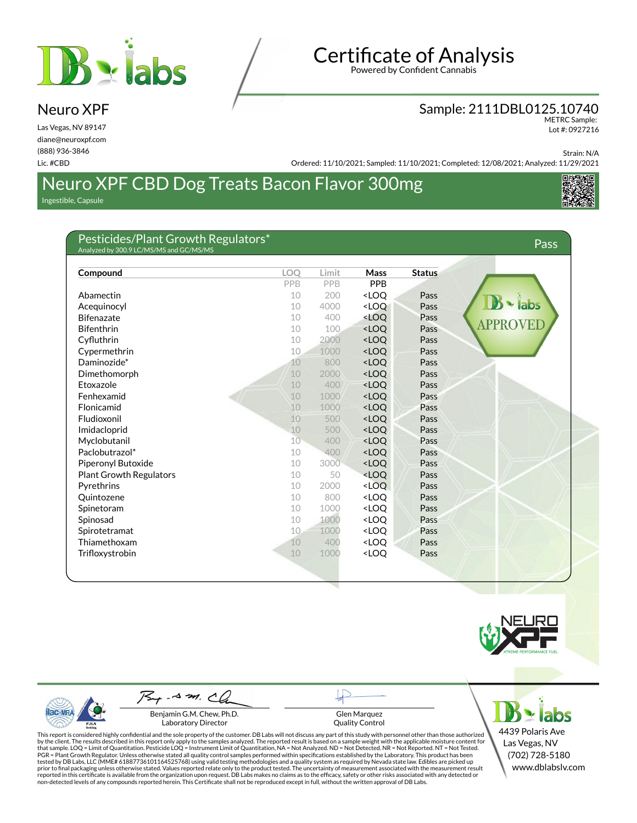## $B$   $\cdot$  labs

Neuro XPF Las Vegas, NV 89147 diane@neuroxpf.com (888) 936-3846 Lic. #CBD

## **Certificate of Analysis**

Powered by Confident Cannabis

#### Sample: 2111DBL0125.10740

METRC Sample: Lot #: 0927216

Strain: N/A

Ordered: 11/10/2021; Sampled: 11/10/2021; Completed: 12/08/2021; Analyzed: 11/29/2021

### Neuro XPF CBD Dog Treats Bacon Flavor 300mg Ingestible, Capsule



| Pesticides/Plant Growth Regulators*<br>Analyzed by 300.9 LC/MS/MS and GC/MS/MS |     |       |                                                        |               | Pass          |
|--------------------------------------------------------------------------------|-----|-------|--------------------------------------------------------|---------------|---------------|
|                                                                                |     |       |                                                        |               |               |
| Compound                                                                       | LOO | Limit | Mass                                                   | <b>Status</b> |               |
|                                                                                | PPB | PPB   | PPB                                                    |               |               |
| Abamectin                                                                      | 10  | 200   | <loq< td=""><td>Pass</td><td></td></loq<>              | Pass          |               |
| Acequinocyl                                                                    | 10  | 4000  | <loo< td=""><td>Pass</td><td>labs</td></loo<>          | Pass          | labs          |
| <b>Bifenazate</b>                                                              | 10  | 400   | <loo< td=""><td>Pass</td><td><b>APPROV</b></td></loo<> | Pass          | <b>APPROV</b> |
| <b>Bifenthrin</b>                                                              | 10  | 100   | <loo< td=""><td>Pass</td><td></td></loo<>              | Pass          |               |
| Cyfluthrin                                                                     | 10  | 2000  | <loo< td=""><td>Pass</td><td></td></loo<>              | Pass          |               |
| Cypermethrin                                                                   | 10  | 1000  | <loo< td=""><td>Pass</td><td></td></loo<>              | Pass          |               |
| Daminozide*                                                                    | 10  | 800   | <loq< td=""><td>Pass</td><td></td></loq<>              | Pass          |               |
| Dimethomorph                                                                   | 10  | 2000  | <loq< td=""><td>Pass</td><td></td></loq<>              | Pass          |               |
| Etoxazole                                                                      | 10  | 400   | <loq< td=""><td>Pass</td><td></td></loq<>              | Pass          |               |
| Fenhexamid                                                                     | 10  | 1000  | <loq< td=""><td>Pass</td><td></td></loq<>              | Pass          |               |
| Flonicamid                                                                     | 10  | 1000  | <loq< td=""><td>Pass</td><td></td></loq<>              | Pass          |               |
| Fludioxonil                                                                    | 10  | 500   | <loq< td=""><td>Pass</td><td></td></loq<>              | Pass          |               |
| Imidacloprid                                                                   | 10  | 500   | <loo< td=""><td>Pass</td><td></td></loo<>              | Pass          |               |
| Myclobutanil                                                                   | 10  | 400   | <loq< td=""><td>Pass</td><td></td></loq<>              | Pass          |               |
| Paclobutrazol*                                                                 | 10  | 400   | <loq< td=""><td>Pass</td><td></td></loq<>              | Pass          |               |
| Piperonyl Butoxide                                                             | 10  | 3000  | <loo< td=""><td>Pass</td><td></td></loo<>              | Pass          |               |
| <b>Plant Growth Regulators</b>                                                 | 10  | 50    | <loo< td=""><td>Pass</td><td></td></loo<>              | Pass          |               |
| Pyrethrins                                                                     | 10  | 2000  | <loo< td=""><td>Pass</td><td></td></loo<>              | Pass          |               |
| Quintozene                                                                     | 10  | 800   | <loo< td=""><td>Pass</td><td></td></loo<>              | Pass          |               |
| Spinetoram                                                                     | 10  | 1000  | <loo< td=""><td>Pass</td><td></td></loo<>              | Pass          |               |
| Spinosad                                                                       | 10  | 1000  | <loq< td=""><td>Pass</td><td></td></loq<>              | Pass          |               |
| Spirotetramat                                                                  | 10  | 1000  | <loq< td=""><td>Pass</td><td></td></loq<>              | Pass          |               |
| Thiamethoxam                                                                   | 10  | 400   | <loq< td=""><td>Pass</td><td></td></loq<>              | Pass          |               |
| Trifloxystrobin                                                                | 10  | 1000  | <loq< td=""><td>Pass</td><td></td></loq<>              | Pass          |               |



PJL/

 $-4$  m.  $\sim$ Benjamin G.M. Chew, Ph.D.

Laboratory Director

Glen Marquez Quality Control

This report is considered highly confidential and the sole property of the customer. DB Labs will not discuss any part of this study with personnel other than those authorized<br>by the client. The results described in this r

4439 Polaris Ave Las Vegas, NV (702) 728-5180 www.dblabslv.com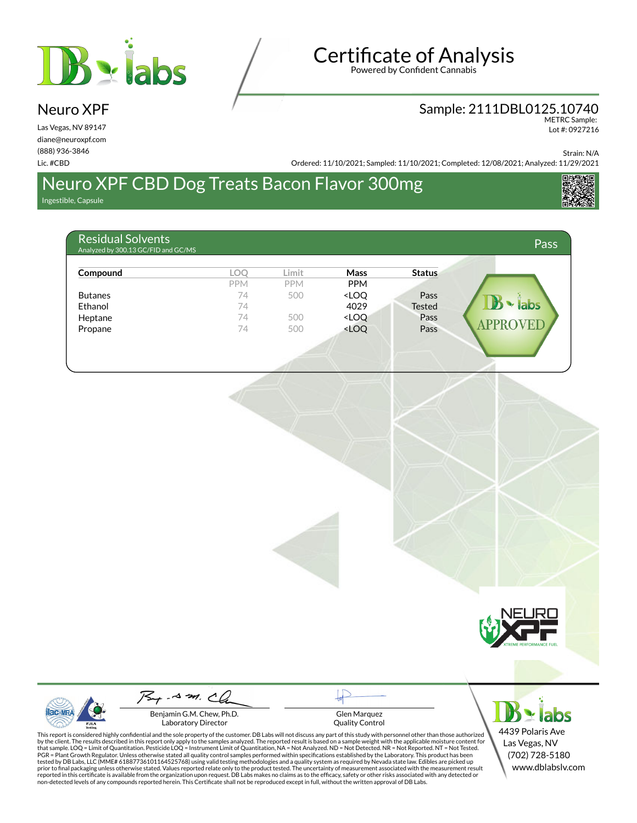

## **Certificate of Analysis**

Powered by Confident Cannabis

## Sample: 2111DBL0125.10740 METRC Sample:

Lot #: 0927216

Strain: N/A

Ordered: 11/10/2021; Sampled: 11/10/2021; Completed: 12/08/2021; Analyzed: 11/29/2021

## Neuro XPF CBD Dog Treats Bacon Flavor 300mg

Ingestible, Capsule

Neuro XPF Las Vegas, NV 89147 diane@neuroxpf.com (888) 936-3846 Lic. #CBD

| <b>Residual Solvents</b><br>Analyzed by 300.13 GC/FID and GC/MS |            |            |                                                       |               | Pass         |
|-----------------------------------------------------------------|------------|------------|-------------------------------------------------------|---------------|--------------|
| Compound                                                        | <b>LOO</b> | Limit      | <b>Mass</b>                                           | <b>Status</b> |              |
|                                                                 | <b>PPM</b> | <b>PPM</b> | <b>PPM</b>                                            |               |              |
| <b>Butanes</b>                                                  | 74         | 500        | <loq< td=""><td>Pass</td><td></td></loq<>             | Pass          |              |
| Ethanol                                                         | 74         |            | 4029                                                  | <b>Tested</b> | labs         |
| Heptane                                                         | 74         | 500        | <loq< td=""><td>Pass</td><td></td></loq<>             | Pass          |              |
| Propane                                                         | 74         | 500        | <loq< td=""><td>Pass</td><td><b>APPRO</b></td></loq<> | Pass          | <b>APPRO</b> |



Benjamin G.M. Chew, Ph.D. Laboratory Director

Glen Marquez Quality Control

This report is considered highly confidential and the sole property of the customer. DB Labs will not discuss any part of this study with personnel other than those authorized<br>by the client. The results described in this r